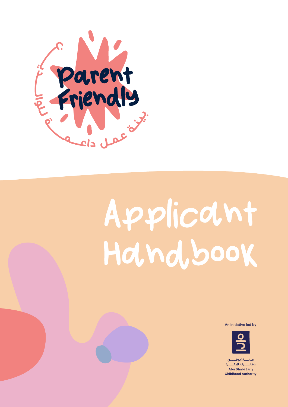

# Applicant Hand, book

An initiative led by



ـة أىـوظ للطف ولة المك Abu Dhabi Early **Childhood Authority**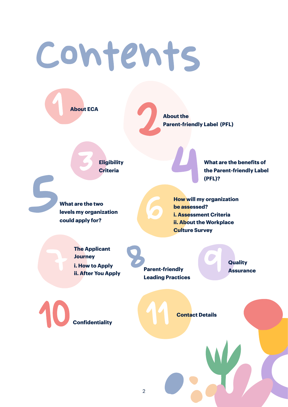## Contents

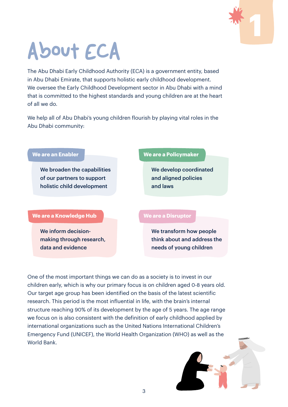

## <span id="page-2-0"></span>About ECA

The Abu Dhabi Early Childhood Authority (ECA) is a government entity, based in Abu Dhabi Emirate, that supports holistic early childhood development. We oversee the Early Childhood Development sector in Abu Dhabi with a mind that is committed to the highest standards and young children are at the heart of all we do.

We help all of Abu Dhabi's young children flourish by playing vital roles in the Abu Dhabi community:

### **We are an Enabler**

We broaden the capabilities of our partners to support holistic child development

#### **We are a Knowledge Hub**

We inform decisionmaking through research, data and evidence

#### **We are a Policymaker**

We develop coordinated and aligned policies and laws

#### **We are a Disruptor**

We transform how people think about and address the needs of young children

One of the most important things we can do as a society is to invest in our children early, which is why our primary focus is on children aged 0-8 years old. Our target age group has been identified on the basis of the latest scientific research. This period is the most influential in life, with the brain's internal structure reaching 90% of its development by the age of 5 years. The age range we focus on is also consistent with the definition of early childhood applied by international organizations such as the United Nations International Children's Emergency Fund (UNICEF), the World Health Organization (WHO) as well as the World Bank.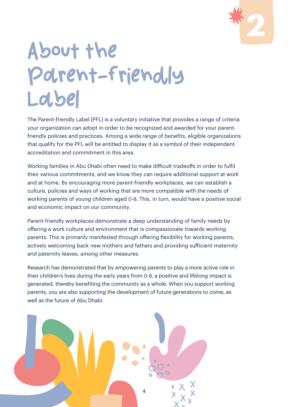

## <span id="page-3-0"></span>About the Parent-friendly Label

The Parent-friendly Label (PFL) is a voluntary initiative that provides a range of criteria your organization can adopt in order to be recognized and awarded for your parentfriendly policies and practices. Among a wide range of benefits, eligible organizations that qualify for the PFL will be entitled to display it as a symbol of their independent accreditation and commitment in this area.

Working families in Abu Dhabi often need to make difficult tradeoffs in order to fulfil their various commitments, and we know they can require additional support at work and at home. By encouraging more parent-friendly workplaces, we can establish a culture, policies and ways of working that are more compatible with the needs of working parents of young children aged 0-8. This, in turn, would have a positive social and economic impact on our community.

Parent-friendly workplaces demonstrate a deep understanding of family needs by offering a work culture and environment that is compassionate towards working parents. This is primarily manifested through offering flexibility for working parents, actively welcoming back new mothers and fathers and providing sufficient maternity and paternity leaves, among other measures.

Research has demonstrated that by empowering parents to play a more active role in their children's lives during the early years from 0-8, a positive and lifelong impact is generated, thereby benefiting the community as a whole. When you support working parents, you are also supporting the development of future generations to come, as well as the future of Abu Dhabi.

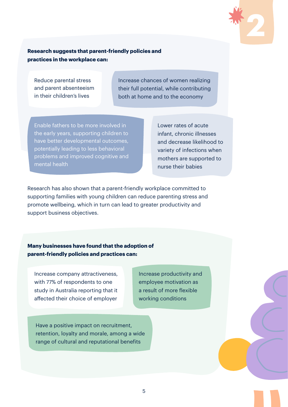

#### **Research suggests that parent-friendly policies and practices in the workplace can:**

Reduce parental stress and parent absenteeism in their children's lives

Increase chances of women realizing their full potential, while contributing both at home and to the economy

Enable fathers to be more involved in the early years, supporting children to have better developmental outcomes, potentially leading to less behavioral problems and improved cognitive and mental health

Lower rates of acute infant, chronic illnesses and decrease likelihood to variety of infections when mothers are supported to nurse their babies

Research has also shown that a parent-friendly workplace committed to supporting families with young children can reduce parenting stress and promote wellbeing, which in turn can lead to greater productivity and support business objectives.

**Many businesses have found that the adoption of parent-friendly policies and practices can:**

Increase company attractiveness, with 77% of respondents to one study in Australia reporting that it affected their choice of employer

Increase productivity and employee motivation as a result of more flexible working conditions

Have a positive impact on recruitment, retention, loyalty and morale, among a wide range of cultural and reputational benefits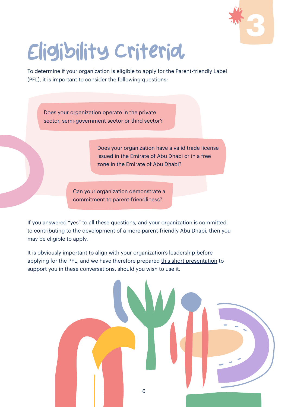

## <span id="page-5-0"></span>Eligibility Criteria

To determine if your organization is eligible to apply for the Parent-friendly Label (PFL), it is important to consider the following questions:

Does your organization operate in the private sector, semi-government sector or third sector?

> Does your organization have a valid trade license issued in the Emirate of Abu Dhabi or in a free zone in the Emirate of Abu Dhabi?

Can your organization demonstrate a commitment to parent-friendliness?

If you answered "yes" to all these questions, and your organization is committed to contributing to the development of a more parent-friendly Abu Dhabi, then you may be eligible to apply.

It is obviously important to align with your organization's leadership before applying for the PFL, and we have therefore prepared this short presentation to support you in these conversations, should you wish to use it.

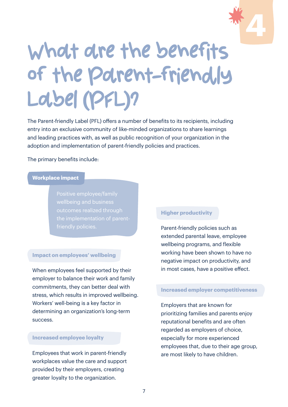

## <span id="page-6-0"></span>What are the benefits of the Parent-friendly Label (PFL)?

The Parent-friendly Label (PFL) offers a number of benefits to its recipients, including entry into an exclusive community of like-minded organizations to share learnings and leading practices with, as well as public recognition of your organization in the adoption and implementation of parent-friendly policies and practices.

The primary benefits include:

#### **Workplace impact**

Positive employee/family wellbeing and business outcomes realized through the implementation of parent-

#### **Impact on employees' wellbeing**

When employees feel supported by their employer to balance their work and family commitments, they can better deal with stress, which results in improved wellbeing. Workers' well-being is a key factor in determining an organization's long-term success.

#### **Increased employee loyalty**

Employees that work in parent-friendly workplaces value the care and support provided by their employers, creating greater loyalty to the organization.

#### **Higher productivity**

Parent-friendly policies such as extended parental leave, employee wellbeing programs, and flexible working have been shown to have no negative impact on productivity, and in most cases, have a positive effect.

#### **Increased employer competitiveness**

Employers that are known for prioritizing families and parents enjoy reputational benefits and are often regarded as employers of choice, especially for more experienced employees that, due to their age group, are most likely to have children.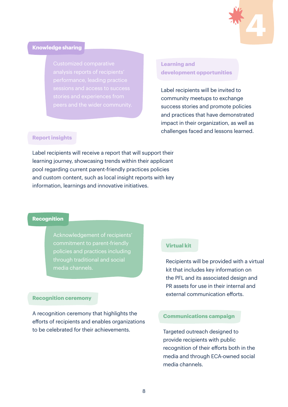

#### **Knowledge sharing**

analysis reports of recipients'

#### **Learning and development opportunities**

Label recipients will be invited to community meetups to exchange success stories and promote policies and practices that have demonstrated impact in their organization, as well as challenges faced and lessons learned.

#### **Report insights**

Label recipients will receive a report that will support their learning journey, showcasing trends within their applicant pool regarding current parent-friendly practices policies and custom content, such as local insight reports with key information, learnings and innovative initiatives.

#### **Recognition**

Acknowledgement of recipients' commitment to parent-friendly policies and practices including through traditional and social media channels.

#### **Recognition ceremony**

A recognition ceremony that highlights the efforts of recipients and enables organizations to be celebrated for their achievements. Targeted outreach designed to

#### **Virtual kit**

Recipients will be provided with a virtual kit that includes key information on the PFL and its associated design and PR assets for use in their internal and external communication efforts.

#### **Communications campaign**

provide recipients with public recognition of their efforts both in the media and through ECA-owned social media channels.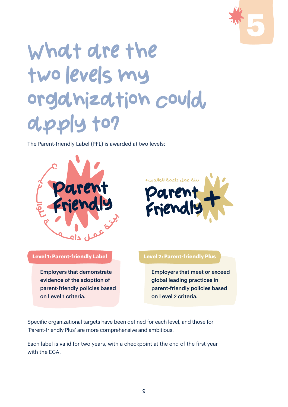

## <span id="page-8-0"></span>What are the two levels my organization could. apply to?

The Parent-friendly Label (PFL) is awarded at two levels:





**Level 1: Parent-friendly Label Level 2: Parent-friendly Plus**

Employers that demonstrate evidence of the adoption of parent-friendly policies based on Level 1 criteria.

Employers that meet or exceed global leading practices in parent-friendly policies based on Level 2 criteria.

Specific organizational targets have been defined for each level, and those for 'Parent-friendly Plus' are more comprehensive and ambitious.

Each label is valid for two years, with a checkpoint at the end of the first year with the ECA.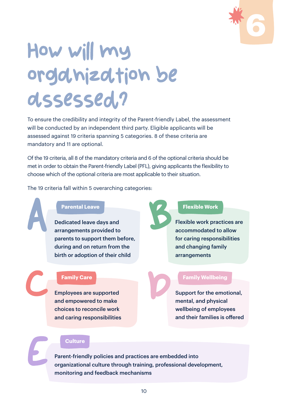

## <span id="page-9-0"></span>How will my organization be assessed?

To ensure the credibility and integrity of the Parent-friendly Label, the assessment will be conducted by an independent third party. Eligible applicants will be assessed against 19 criteria spanning 5 categories. 8 of these criteria are mandatory and 11 are optional.

Of the 19 criteria, all 8 of the mandatory criteria and 6 of the optional criteria should be met in order to obtain the Parent-friendly Label (PFL), giving applicants the flexibility to choose which of the optional criteria are most applicable to their situation.

The 19 criteria fall within 5 overarching categories:

#### **Parental Leave**

Dedicated leave days and arrangements provided to parents to support them before, during and on return from the birth or adoption of their child Parental Leave<br>Dedicated leave days and<br>arrangements provided to

#### **Family Care**

C

E

Employees are supported and empowered to make choices to reconcile work and caring responsibilities

#### **Flexible Work**

Flexible work practices are accommodated to allow for caring responsibilities and changing family arrangements

#### **Family Wellbeing**

Support for the emotional, mental, and physical wellbeing of employees and their families is offered

#### **Culture**

Parent-friendly policies and practices are embedded into organizational culture through training, professional development, monitoring and feedback mechanisms

D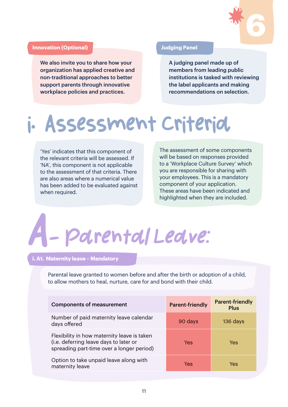

#### **Innovation (Optional) Judging Panel**

We also invite you to share how your organization has applied creative and non-traditional approaches to better support parents through innovative workplace policies and practices.

A judging panel made up of members from leading public institutions is tasked with reviewing the label applicants and making recommendations on selection.

### i. Assessment Criteria

'Yes' indicates that this component of the relevant criteria will be assessed. If 'NA', this component is not applicable to the assessment of that criteria. There are also areas where a numerical value has been added to be evaluated against when required.

The assessment of some components will be based on responses provided to a 'Workplace Culture Survey' which you are responsible for sharing with your employees. This is a mandatory component of your application. These areas have been indicated and highlighted when they are included.

# A- Parental Leave:

#### **i. A1. Maternity leave – Mandatory**

Parental leave granted to women before and after the birth or adoption of a child, to allow mothers to heal, nurture, care for and bond with their child.

| <b>Components of measurement</b>                                                                                                   | <b>Parent-friendly</b> | <b>Parent-friendly</b><br><b>Plus</b> |
|------------------------------------------------------------------------------------------------------------------------------------|------------------------|---------------------------------------|
| Number of paid maternity leave calendar<br>days offered                                                                            | 90 days                | 136 days                              |
| Flexibility in how maternity leave is taken<br>(i.e. deferring leave days to later or<br>spreading part-time over a longer period) | Yes                    | <b>Yes</b>                            |
| Option to take unpaid leave along with<br>maternity leave                                                                          | Yes                    | Yes                                   |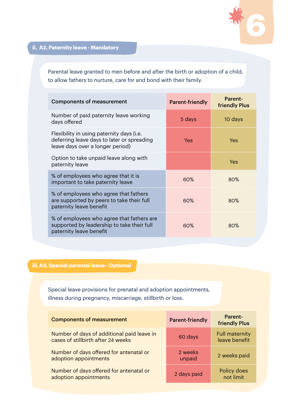

**ii. A2. Paternity leave - Mandatory**

Parental leave granted to men before and after the birth or adoption of a child, to allow fathers to nurture, care for and bond with their family.

| <b>Components of measurement</b>                                                                                            | <b>Parent-friendly</b> | Parent-<br><b>friendly Plus</b> |
|-----------------------------------------------------------------------------------------------------------------------------|------------------------|---------------------------------|
| Number of paid paternity leave working<br>days offered                                                                      | 5 days                 | 10 days                         |
| Flexibility in using paternity days (i.e.<br>deferring leave days to later or spreading<br>leave days over a longer period) | Yes                    | Yes                             |
| Option to take unpaid leave along with<br>paternity leave                                                                   |                        | Yes                             |
| % of employees who agree that it is<br>important to take paternity leave                                                    | 60%                    | 80%                             |
| % of employees who agree that fathers<br>are supported by peers to take their full<br>paternity leave benefit               | 60%                    | 80%                             |
| % of employees who agree that fathers are<br>supported by leadership to take their full<br>paternity leave benefit          | 60%                    | 80%                             |

### **iii.A3. Special parental leave - Optional**

Special leave provisions for prenatal and adoption appointments, illness during pregnancy, miscarriage, stillbirth or loss.

| <b>Components of measurement</b>                                                 | <b>Parent-friendly</b> | <b>Parent-</b><br><b>friendly Plus</b> |
|----------------------------------------------------------------------------------|------------------------|----------------------------------------|
| Number of days of additional paid leave in<br>cases of stillbirth after 24 weeks | 60 days                | <b>Full maternity</b><br>leave benefit |
| Number of days offered for antenatal or<br>adoption appointments                 | 2 weeks<br>unpaid      | 2 weeks paid                           |
| Number of days offered for antenatal or<br>adoption appointments                 | 2 days paid            | Policy does<br>not limit               |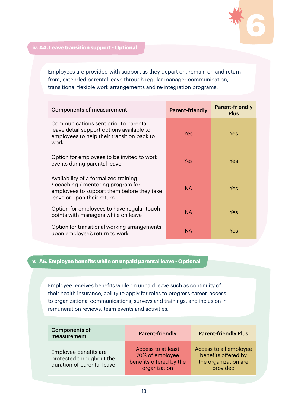

Employees are provided with support as they depart on, remain on and return from, extended parental leave through regular manager communication, transitional flexible work arrangements and re-integration programs.

| <b>Components of measurement</b>                                                                                                                        | <b>Parent-friendly</b> | <b>Parent-friendly</b><br><b>Plus</b> |
|---------------------------------------------------------------------------------------------------------------------------------------------------------|------------------------|---------------------------------------|
| Communications sent prior to parental<br>leave detail support options available to<br>employees to help their transition back to<br>work                | Yes                    | Yes                                   |
| Option for employees to be invited to work<br>events during parental leave                                                                              | Yes                    | Yes                                   |
| Availability of a formalized training<br>/ coaching / mentoring program for<br>employees to support them before they take<br>leave or upon their return | <b>NA</b>              | Yes                                   |
| Option for employees to have regular touch<br>points with managers while on leave                                                                       | <b>NA</b>              | Yes                                   |
| Option for transitional working arrangements<br>upon employee's return to work                                                                          | <b>NA</b>              | Yes                                   |

#### **v. A5. Employee benefits while on unpaid parental leave - Optional**

Employee receives benefits while on unpaid leave such as continuity of their health insurance, ability to apply for roles to progress career, access to organizational communications, surveys and trainings, and inclusion in remuneration reviews, team events and activities.

| <b>Components of</b><br>measurement                                             | <b>Parent-friendly</b>                                                           | <b>Parent-friendly Plus</b>                                                       |
|---------------------------------------------------------------------------------|----------------------------------------------------------------------------------|-----------------------------------------------------------------------------------|
| Employee benefits are<br>protected throughout the<br>duration of parental leave | Access to at least<br>70% of employee<br>benefits offered by the<br>organization | Access to all employee<br>benefits offered by<br>the organization are<br>provided |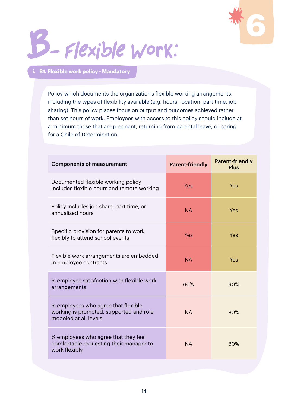

## B- Flexible Work:

#### **i. B1. Flexible work policy - Mandatory**

Policy which documents the organization's flexible working arrangements, including the types of flexibility available (e.g. hours, location, part time, job sharing). This policy places focus on output and outcomes achieved rather than set hours of work. Employees with access to this policy should include at a minimum those that are pregnant, returning from parental leave, or caring for a Child of Determination.

| <b>Components of measurement</b>                                                                        | <b>Parent-friendly</b> | <b>Parent-friendly</b><br><b>Plus</b> |
|---------------------------------------------------------------------------------------------------------|------------------------|---------------------------------------|
| Documented flexible working policy<br>includes flexible hours and remote working                        | <b>Yes</b>             | Yes                                   |
| Policy includes job share, part time, or<br>annualized hours                                            | <b>NA</b>              | Yes                                   |
| Specific provision for parents to work<br>flexibly to attend school events                              | <b>Yes</b>             | Yes                                   |
| Flexible work arrangements are embedded<br>in employee contracts                                        | <b>NA</b>              | Yes                                   |
| % employee satisfaction with flexible work<br>arrangements                                              | 60%                    | 90%                                   |
| % employees who agree that flexible<br>working is promoted, supported and role<br>modeled at all levels | <b>NA</b>              | 80%                                   |
| % employees who agree that they feel<br>comfortable requesting their manager to<br>work flexibly        | <b>NA</b>              | 80%                                   |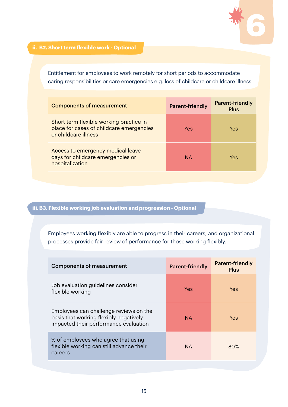

#### **ii. B2. Short term flexible work - Optional**

Entitlement for employees to work remotely for short periods to accommodate caring responsibilities or care emergencies e.g. loss of childcare or childcare illness.

| <b>Components of measurement</b>                                                                            | <b>Parent-friendly</b> | <b>Parent-friendly</b><br>Plus |
|-------------------------------------------------------------------------------------------------------------|------------------------|--------------------------------|
| Short term flexible working practice in<br>place for cases of childcare emergencies<br>or childcare illness | Yes                    | Yes                            |
| Access to emergency medical leave<br>days for childcare emergencies or<br>hospitalization                   | <b>NA</b>              | Yes                            |

#### **iii.B3. Flexible working job evaluation and progression - Optional**

Employees working flexibly are able to progress in their careers, and organizational processes provide fair review of performance for those working flexibly.

| <b>Components of measurement</b>                                                                                          | <b>Parent-friendly</b> | <b>Parent-friendly</b><br><b>Plus</b> |
|---------------------------------------------------------------------------------------------------------------------------|------------------------|---------------------------------------|
| Job evaluation guidelines consider<br>flexible working                                                                    | Yes                    | Yes                                   |
| Employees can challenge reviews on the<br>basis that working flexibly negatively<br>impacted their performance evaluation | NA.                    | Yes                                   |
| % of employees who agree that using<br>flexible working can still advance their<br>careers                                | NA.                    | 80%                                   |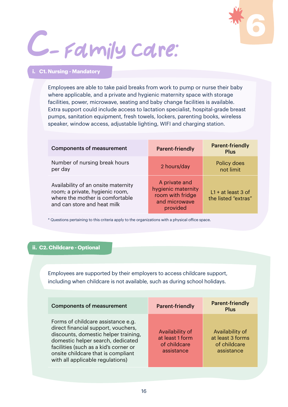

# C- Family Care:

#### **i. C1. Nursing - Mandatory**

Employees are able to take paid breaks from work to pump or nurse their baby where applicable, and a private and hygienic maternity space with storage facilities, power, microwave, seating and baby change facilities is available. Extra support could include access to lactation specialist, hospital-grade breast pumps, sanitation equipment, fresh towels, lockers, parenting books, wireless speaker, window access, adjustable lighting, WIFI and charging station.

| <b>Components of measurement</b>                                                                                                         | <b>Parent-friendly</b>                                                               | <b>Parent-friendly</b><br><b>Plus</b>       |
|------------------------------------------------------------------------------------------------------------------------------------------|--------------------------------------------------------------------------------------|---------------------------------------------|
| Number of nursing break hours<br>per day                                                                                                 | 2 hours/day                                                                          | Policy does<br>not limit                    |
| Availability of an onsite maternity<br>room; a private, hygienic room,<br>where the mother is comfortable<br>and can store and heat milk | A private and<br>hygienic maternity<br>room with fridge<br>and microwave<br>provided | $L1 + at least 3 of$<br>the listed "extras" |

\* Questions pertaining to this criteria apply to the organizations with a physical office space.

#### **ii. C2. Childcare - Optional**

Employees are supported by their employers to access childcare support, including when childcare is not available, such as during school holidays.

| <b>Components of measurement</b>                                                                                                                                                                                                                                          | <b>Parent-friendly</b>                                           | <b>Parent-friendly</b><br><b>Plus</b>                             |
|---------------------------------------------------------------------------------------------------------------------------------------------------------------------------------------------------------------------------------------------------------------------------|------------------------------------------------------------------|-------------------------------------------------------------------|
| Forms of childcare assistance e.g.<br>direct financial support, vouchers,<br>discounts, domestic helper training,<br>domestic helper search, dedicated<br>facilities (such as a kid's corner or<br>onsite childcare that is compliant<br>with all applicable regulations) | Availability of<br>at least 1 form<br>of childcare<br>assistance | Availability of<br>at least 3 forms<br>of childcare<br>assistance |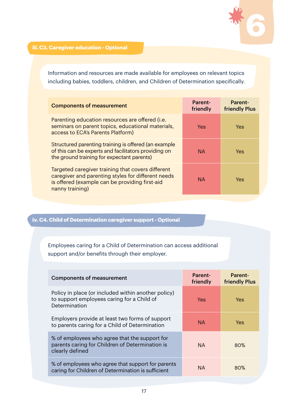

**iii.C3. Caregiver education - Optional**

Information and resources are made available for employees on relevant topics including babies, toddlers, children, and Children of Determination specifically.

| <b>Components of measurement</b>                                                                                                                                             | Parent-<br>friendly | <b>Parent-</b><br><b>friendly Plus</b> |
|------------------------------------------------------------------------------------------------------------------------------------------------------------------------------|---------------------|----------------------------------------|
| Parenting education resources are offered (i.e.<br>seminars on parent topics, educational materials,<br>access to ECA's Parents Platform)                                    | Yes                 | Yes                                    |
| Structured parenting training is offered (an example<br>of this can be experts and facilitators providing on<br>the ground training for expectant parents)                   | <b>NA</b>           | Yes.                                   |
| Targeted caregiver training that covers different<br>caregiver and parenting styles for different needs<br>is offered (example can be providing first-aid<br>nanny training) | <b>NA</b>           | Yes.                                   |

#### **iv. C4. Child of Determination caregiver support - Optional**

#### Employees caring for a Child of Determination can access additional support and/or benefits through their employer.

| <b>Components of measurement</b>                                                                                    | Parent-<br>friendly | <b>Parent-</b><br><b>friendly Plus</b> |
|---------------------------------------------------------------------------------------------------------------------|---------------------|----------------------------------------|
| Policy in place (or included within another policy)<br>to support employees caring for a Child of<br>Determination  | Yes                 | Yes                                    |
| Employers provide at least two forms of support<br>to parents caring for a Child of Determination                   | <b>NA</b>           | Yes                                    |
| % of employees who agree that the support for<br>parents caring for Children of Determination is<br>clearly defined | <b>NA</b>           | 80%                                    |
| % of employees who agree that support for parents<br>caring for Children of Determination is sufficient             | NA.                 | 80%                                    |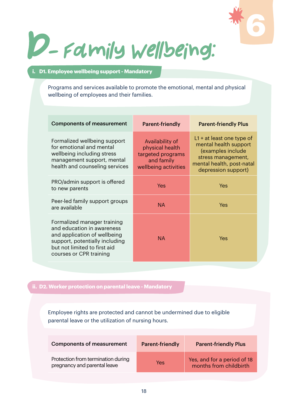

D- Family Wellbeing:

#### **i. D1. Employee wellbeing support - Mandatory**

Programs and services available to promote the emotional, mental and physical wellbeing of employees and their families.

| <b>Components of measurement</b>                                                                                                                                                       | <b>Parent-friendly</b>                                                                        | <b>Parent-friendly Plus</b>                                                                                                                         |
|----------------------------------------------------------------------------------------------------------------------------------------------------------------------------------------|-----------------------------------------------------------------------------------------------|-----------------------------------------------------------------------------------------------------------------------------------------------------|
| Formalized wellbeing support<br>for emotional and mental<br>wellbeing including stress<br>management support, mental<br>health and counseling services                                 | Availability of<br>physical health<br>targeted programs<br>and family<br>wellbeing activities | $L1 + at least one type of$<br>mental health support<br>(examples include<br>stress management,<br>mental health, post-natal<br>depression support) |
| PRO/admin support is offered<br>to new parents                                                                                                                                         | Yes                                                                                           | Yes                                                                                                                                                 |
| Peer-led family support groups<br>are available                                                                                                                                        | NA.                                                                                           | Yes                                                                                                                                                 |
| Formalized manager training<br>and education in awareness<br>and application of wellbeing<br>support, potentially including<br>but not limited to first aid<br>courses or CPR training | NA.                                                                                           | Yes                                                                                                                                                 |

#### **ii. D2. Worker protection on parental leave - Mandatory**

Employee rights are protected and cannot be undermined due to eligible parental leave or the utilization of nursing hours.

| <b>Components of measurement</b>                                   | <b>Parent-friendly</b> | <b>Parent-friendly Plus</b>                           |
|--------------------------------------------------------------------|------------------------|-------------------------------------------------------|
| Protection from termination during<br>pregnancy and parental leave | Yes                    | Yes, and for a period of 18<br>months from childbirth |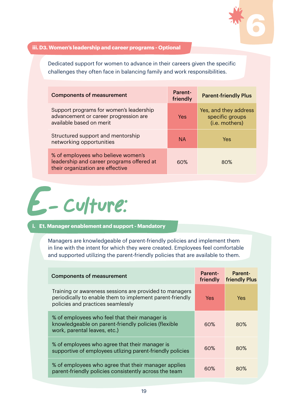

#### **iii.D3. Women's leadership and career programs - Optional**

Dedicated support for women to advance in their careers given the specific challenges they often face in balancing family and work responsibilities.

| <b>Components of measurement</b>                                                                                    | Parent-<br>friendly | <b>Parent-friendly Plus</b>                                |
|---------------------------------------------------------------------------------------------------------------------|---------------------|------------------------------------------------------------|
| Support programs for women's leadership<br>advancement or career progression are<br>available based on merit        | Yes                 | Yes, and they address<br>specific groups<br>(i.e. mothers) |
| Structured support and mentorship<br>networking opportunities                                                       | <b>NA</b>           | Yes                                                        |
| % of employees who believe women's<br>leadership and career programs offered at<br>their organization are effective | 60 <sup>%</sup>     | 80%                                                        |



#### **i. E1. Manager enablement and support - Mandatory**

Managers are knowledgeable of parent-friendly policies and implement them in line with the intent for which they were created. Employees feel comfortable and supported utilizing the parent-friendly policies that are available to them.

| <b>Components of measurement</b>                                                                                                                         | Parent-<br>friendly | <b>Parent-</b><br><b>friendly Plus</b> |
|----------------------------------------------------------------------------------------------------------------------------------------------------------|---------------------|----------------------------------------|
| Training or awareness sessions are provided to managers<br>periodically to enable them to implement parent-friendly<br>policies and practices seamlessly | Yes:                | Yes                                    |
| % of employees who feel that their manager is<br>knowledgeable on parent-friendly policies (flexible<br>work, parental leaves, etc.)                     | 60%                 | 80%                                    |
| % of employees who agree that their manager is<br>supportive of employees utlizing parent-friendly policies                                              | 60%                 | 80%                                    |
| % of employees who agree that their manager applies<br>parent-friendly policies consistently across the team                                             | 60%                 | 80%                                    |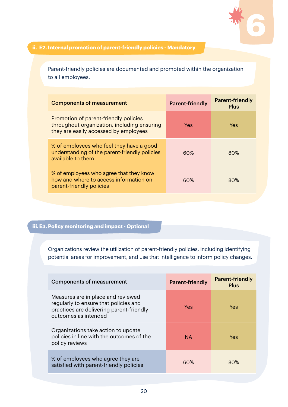

#### **ii. E2. Internal promotion of parent-friendly policies - Mandatory**

Parent-friendly policies are documented and promoted within the organization to all employees.

| <b>Components of measurement</b>                                                                                              | <b>Parent-friendly</b> | <b>Parent-friendly</b><br><b>Plus</b> |
|-------------------------------------------------------------------------------------------------------------------------------|------------------------|---------------------------------------|
| Promotion of parent-friendly policies<br>throughout organization, including ensuring<br>they are easily accessed by employees | Yes                    | Yes                                   |
| % of employees who feel they have a good<br>understanding of the parent-friendly policies<br>available to them                | 60%                    | 80%                                   |
| % of employees who agree that they know<br>how and where to access information on<br>parent-friendly policies                 | 60%                    | 80%                                   |

### **iii.E3. Policy monitoring and impact - Optional**

Organizations review the utilization of parent-friendly policies, including identifying potential areas for improvement, and use that intelligence to inform policy changes.

| <b>Components of measurement</b>                                                                                                                | <b>Parent-friendly</b> | <b>Parent-friendly</b><br>Plus |
|-------------------------------------------------------------------------------------------------------------------------------------------------|------------------------|--------------------------------|
| Measures are in place and reviewed<br>regularly to ensure that policies and<br>practices are delivering parent-friendly<br>outcomes as intended | Yes                    | Yes.                           |
| Organizations take action to update<br>policies in line with the outcomes of the<br>policy reviews                                              | <b>NA</b>              | Yes                            |
| % of employees who agree they are<br>satisfied with parent-friendly policies                                                                    | 60%                    | 80%                            |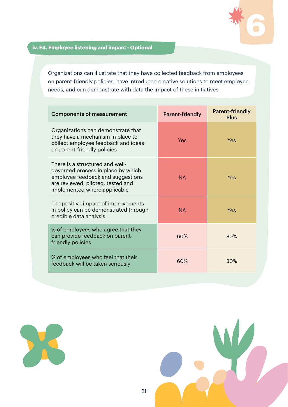

#### **iv. E4. Employee listening and impact - Optional**

Organizations can illustrate that they have collected feedback from employees on parent-friendly policies, have introduced creative solutions to meet employee needs, and can demonstrate with data the impact of these initiatives.

| <b>Components of measurement</b>                                                                                                                                                | <b>Parent-friendly</b> | <b>Parent-friendly</b><br><b>Plus</b> |
|---------------------------------------------------------------------------------------------------------------------------------------------------------------------------------|------------------------|---------------------------------------|
| Organizations can demonstrate that<br>they have a mechanism in place to<br>collect employee feedback and ideas<br>on parent-friendly policies                                   | Yes                    | Yes                                   |
| There is a structured and well-<br>governed process in place by which<br>employee feedback and suggestions<br>are reviewed, piloted, tested and<br>implemented where applicable | <b>NA</b>              | Yes                                   |
| The positive impact of improvements<br>in policy can be demonstrated through<br>credible data analysis                                                                          | <b>NA</b>              | Yes                                   |
| % of employees who agree that they<br>can provide feedback on parent-<br>friendly policies                                                                                      | 60%                    | 80%                                   |
| % of employees who feel that their<br>feedback will be taken seriously                                                                                                          | 60%                    | 80%                                   |



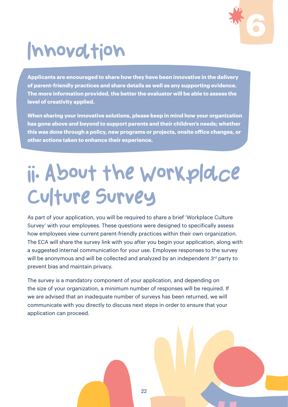

## lnnovation

**Applicants are encouraged to share how they have been innovative in the delivery of parent-friendly practices and share details as well as any supporting evidence. The more information provided, the better the evaluator will be able to assess the level of creativity applied.** 

**When sharing your innovative solutions, please keep in mind how your organization has gone above and beyond to support parents and their children's needs; whether this was done through a policy, new programs or projects, onsite office changes, or other actions taken to enhance their experience.**

## ii. About the Workplace Culture Survey

As part of your application, you will be required to share a brief 'Workplace Culture Survey' with your employees. These questions were designed to specifically assess how employees view current parent-friendly practices within their own organization. The ECA will share the survey link with you after you begin your application, along with a suggested internal communication for your use. Employee responses to the survey will be anonymous and will be collected and analyzed by an independent 3<sup>rd</sup> party to prevent bias and maintain privacy.

The survey is a mandatory component of your application, and depending on the size of your organization, a minimum number of responses will be required. If we are advised that an inadequate number of surveys has been returned, we will communicate with you directly to discuss next steps in order to ensure that your application can proceed.

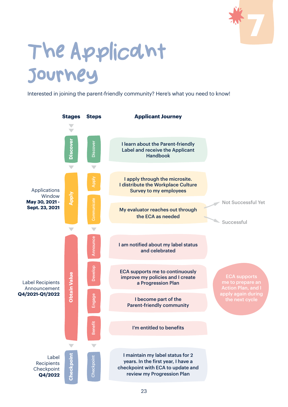

## <span id="page-22-0"></span>The Applicant Journey

Interested in joining the parent-friendly community? Here's what you need to know!

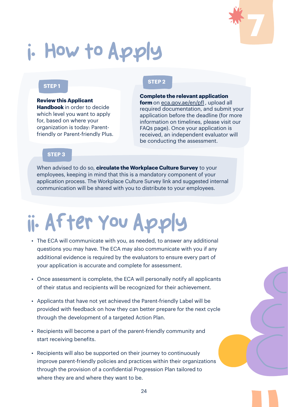

## i. How to Apply

#### **STEP 1**

**Review this Applicant Handbook** in order to decide which level you want to apply for, based on where your organization is today: Parentfriendly or Parent-friendly Plus.

#### **STEP 2**

**Complete the relevant application form** on [eca.gov.ae/en/pfl](http://eca.gov.ae/en/pfl), upload all required documentation, and submit your application before the deadline (for more information on timelines, please visit our FAQs page). Once your application is received, an independent evaluator will be conducting the assessment.

#### **STEP 3**

When advised to do so, **circulate the Workplace Culture Survey** to your employees, keeping in mind that this is a mandatory component of your application process. The Workplace Culture Survey link and suggested internal communication will be shared with you to distribute to your employees.

## ii. After You Apply

- The ECA will communicate with you, as needed, to answer any additional questions you may have. The ECA may also communicate with you if any additional evidence is required by the evaluators to ensure every part of your application is accurate and complete for assessment.
- Once assessment is complete, the ECA will personally notify all applicants of their status and recipients will be recognized for their achievement.
- Applicants that have not yet achieved the Parent-friendly Label will be provided with feedback on how they can better prepare for the next cycle through the development of a targeted Action Plan.
- Recipients will become a part of the parent-friendly community and start receiving benefits.
- Recipients will also be supported on their journey to continuously improve parent-friendly policies and practices within their organizations through the provision of a confidential Progression Plan tailored to where they are and where they want to be.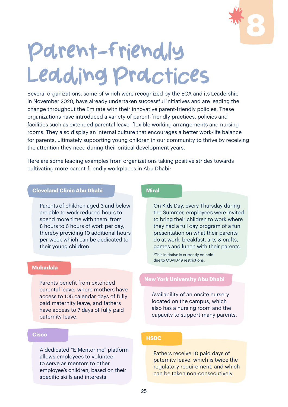

## <span id="page-24-0"></span>Parent-friendly Leading Practices

Several organizations, some of which were recognized by the ECA and its Leadership in November 2020, have already undertaken successful initiatives and are leading the change throughout the Emirate with their innovative parent-friendly policies. These organizations have introduced a variety of parent-friendly practices, policies and facilities such as extended parental leave, flexible working arrangements and nursing rooms. They also display an internal culture that encourages a better work-life balance for parents, ultimately supporting young children in our community to thrive by receiving the attention they need during their critical development years.

Here are some leading examples from organizations taking positive strides towards cultivating more parent-friendly workplaces in Abu Dhabi:

#### **Cleveland Clinic Abu Dhabi**

Parents of children aged 3 and below are able to work reduced hours to spend more time with them: from 8 hours to 6 hours of work per day, thereby providing 10 additional hours per week which can be dedicated to their young children.

#### **Mubadala**

Parents benefit from extended parental leave, where mothers have access to 105 calendar days of fully paid maternity leave, and fathers have access to 7 days of fully paid paternity leave.

#### **Cisco**

A dedicated "E-Mentor me" platform allows employees to volunteer to serve as mentors to other employee's children, based on their specific skills and interests.

#### **Miral**

On Kids Day, every Thursday during the Summer, employees were invited to bring their children to work where they had a full day program of a fun presentation on what their parents do at work, breakfast, arts & crafts, games and lunch with their parents.

\*This initiative is currently on hold due to COVID-19 restrictions.

#### **New York University Abu Dhabi**

Availability of an onsite nursery located on the campus, which also has a nursing room and the capacity to support many parents.

#### **HSBC**

Fathers receive 10 paid days of paternity leave, which is twice the regulatory requirement, and which can be taken non-consecutively.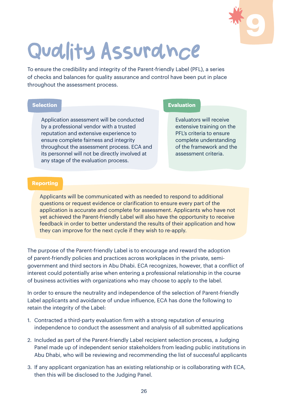

## <span id="page-25-0"></span>Quality Assurance

To ensure the credibility and integrity of the Parent-friendly Label (PFL), a series of checks and balances for quality assurance and control have been put in place throughout the assessment process.

Application assessment will be conducted by a professional vendor with a trusted reputation and extensive experience to ensure complete fairness and integrity throughout the assessment process. ECA and its personnel will not be directly involved at any stage of the evaluation process.

#### **Selection Evaluation**

Evaluators will receive extensive training on the PFL's criteria to ensure complete understanding of the framework and the assessment criteria.

#### **Reporting**

Applicants will be communicated with as needed to respond to additional questions or request evidence or clarification to ensure every part of the application is accurate and complete for assessment. Applicants who have not yet achieved the Parent-friendly Label will also have the opportunity to receive feedback in order to better understand the results of their application and how they can improve for the next cycle if they wish to re-apply.

The purpose of the Parent-friendly Label is to encourage and reward the adoption of parent-friendly policies and practices across workplaces in the private, semigovernment and third sectors in Abu Dhabi. ECA recognizes, however, that a conflict of interest could potentially arise when entering a professional relationship in the course of business activities with organizations who may choose to apply to the label.

In order to ensure the neutrality and independence of the selection of Parent-friendly Label applicants and avoidance of undue influence, ECA has done the following to retain the integrity of the Label:

- 1. Contracted a third-party evaluation firm with a strong reputation of ensuring independence to conduct the assessment and analysis of all submitted applications
- 2. Included as part of the Parent-friendly Label recipient selection process, a Judging Panel made up of independent senior stakeholders from leading public institutions in Abu Dhabi, who will be reviewing and recommending the list of successful applicants
- 3. If any applicant organization has an existing relationship or is collaborating with ECA, then this will be disclosed to the Judging Panel.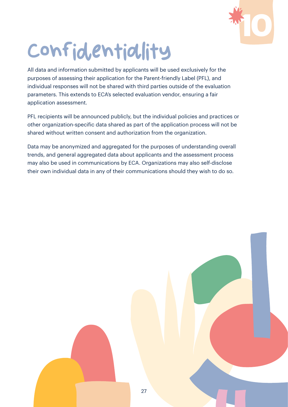

## <span id="page-26-0"></span>Confidentiality

All data and information submitted by applicants will be used exclusively for the purposes of assessing their application for the Parent-friendly Label (PFL), and individual responses will not be shared with third parties outside of the evaluation parameters. This extends to ECA's selected evaluation vendor, ensuring a fair application assessment.

PFL recipients will be announced publicly, but the individual policies and practices or other organization-specific data shared as part of the application process will not be shared without written consent and authorization from the organization.

Data may be anonymized and aggregated for the purposes of understanding overall trends, and general aggregated data about applicants and the assessment process may also be used in communications by ECA. Organizations may also self-disclose their own individual data in any of their communications should they wish to do so.